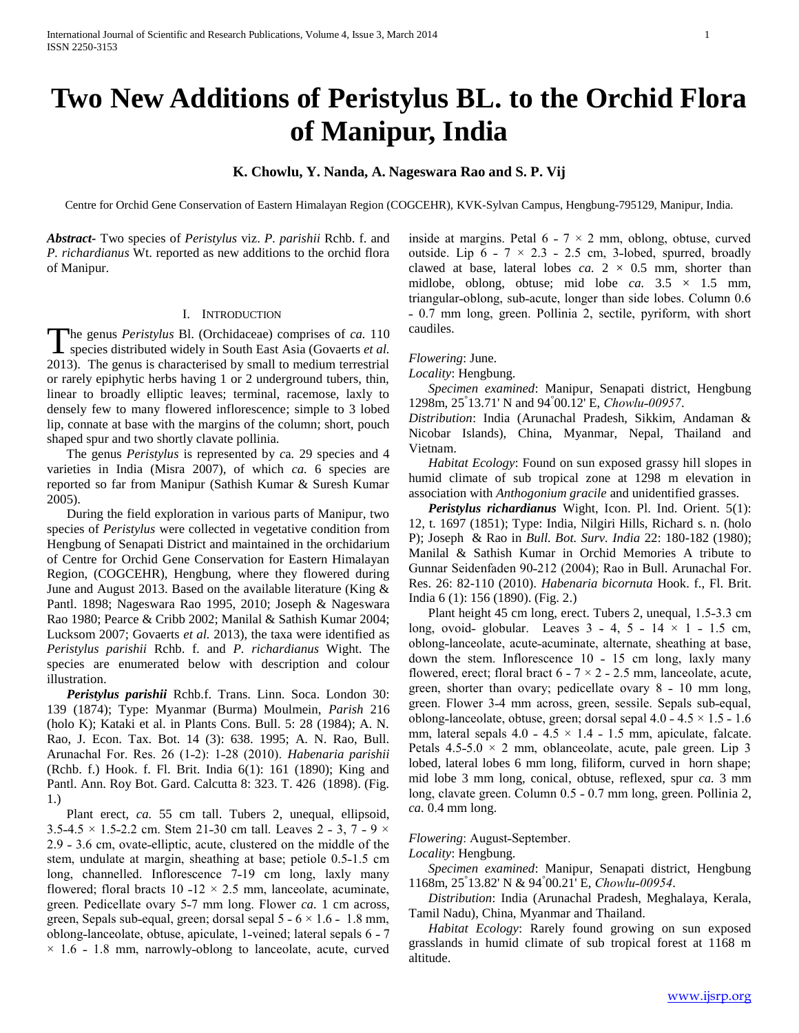# **Two New Additions of Peristylus BL. to the Orchid Flora of Manipur, India**

## **K. Chowlu, Y. Nanda, A. Nageswara Rao and S. P. Vij**

Centre for Orchid Gene Conservation of Eastern Himalayan Region (COGCEHR), KVK-Sylvan Campus, Hengbung-795129, Manipur, India.

*Abstract***-** Two species of *Peristylus* viz. *P. parishii* Rchb. f. and *P. richardianus* Wt. reported as new additions to the orchid flora of Manipur.

### I. INTRODUCTION

he genus *Peristylus* Bl. (Orchidaceae) comprises of *ca.* 110 The genus *Peristylus* Bl. (Orchidaceae) comprises of *ca.* 110<br>
Species distributed widely in South East Asia (Govaerts *et al.* 2013). The genus is characterised by small to medium terrestrial or rarely epiphytic herbs having 1 or 2 underground tubers, thin, linear to broadly elliptic leaves; terminal, racemose, laxly to densely few to many flowered inflorescence; simple to 3 lobed lip, connate at base with the margins of the column; short, pouch shaped spur and two shortly clavate pollinia.

 The genus *Peristylus* is represented by *c*a*.* 29 species and 4 varieties in India (Misra 2007), of which *ca.* 6 species are reported so far from Manipur (Sathish Kumar & Suresh Kumar 2005).

 During the field exploration in various parts of Manipur, two species of *Peristylus* were collected in vegetative condition from Hengbung of Senapati District and maintained in the orchidarium of Centre for Orchid Gene Conservation for Eastern Himalayan Region, (COGCEHR), Hengbung, where they flowered during June and August 2013. Based on the available literature (King & Pantl. 1898; Nageswara Rao 1995, 2010; Joseph & Nageswara Rao 1980; Pearce & Cribb 2002; Manilal & Sathish Kumar 2004; Lucksom 2007; Govaerts *et al.* 2013), the taxa were identified as *Peristylus parishii* Rchb. f. and *P. richardianus* Wight. The species are enumerated below with description and colour illustration.

 *Peristylus parishii* Rchb.f. Trans. Linn. Soca. London 30: 139 (1874); Type: Myanmar (Burma) Moulmein, *Parish* 216 (holo K); Kataki et al. in Plants Cons. Bull. 5: 28 (1984); A. N. Rao, J. Econ. Tax. Bot. 14 (3): 638. 1995; A. N. Rao, Bull. Arunachal For. Res. 26 (1˗2): 1˗28 (2010). *Habenaria parishii* (Rchb. f.) Hook. f. Fl. Brit. India 6(1): 161 (1890); King and Pantl. Ann. Roy Bot. Gard. Calcutta 8: 323. T. 426 (1898). (Fig. 1.)

Plant erect, *ca.* 55 cm tall. Tubers 2, unequal, ellipsoid,  $3.5-4.5 \times 1.5-2.2$  cm. Stem 21-30 cm tall. Leaves 2 - 3, 7 - 9  $\times$ 2.9 - 3.6 cm, ovate-elliptic, acute, clustered on the middle of the stem, undulate at margin, sheathing at base; petiole 0.5-1.5 cm long, channelled. Inflorescence 7-19 cm long, laxly many flowered; floral bracts 10 -12  $\times$  2.5 mm, lanceolate, acuminate, green. Pedicellate ovary 5-7 mm long. Flower *ca.* 1 cm across, green, Sepals sub-equal, green; dorsal sepal  $5 - 6 \times 1.6 - 1.8$  mm, oblong-lanceolate, obtuse, apiculate, 1-veined; lateral sepals 6 - 7  $\times$  1.6 – 1.8 mm, narrowly-oblong to lanceolate, acute, curved

inside at margins. Petal  $6 - 7 \times 2$  mm, oblong, obtuse, curved outside. Lip  $6 - 7 \times 2.3 - 2.5$  cm, 3-lobed, spurred, broadly clawed at base, lateral lobes  $ca. 2 \times 0.5$  mm, shorter than midlobe, oblong, obtuse; mid lobe *ca.*  $3.5 \times 1.5$  mm, triangular-oblong, sub-acute, longer than side lobes. Column 0.6 ˗ 0.7 mm long, green. Pollinia 2, sectile, pyriform, with short caudiles.

### *Flowering*: June.

*Locality*: Hengbung.

 *Specimen examined*: Manipur, Senapati district, Hengbung 1298m, 25° 13.71' N and 94° 00.12' E, *Chowlu˗00957*.

*Distribution*: India (Arunachal Pradesh, Sikkim, Andaman & Nicobar Islands), China, Myanmar, Nepal, Thailand and Vietnam.

 *Habitat Ecology*: Found on sun exposed grassy hill slopes in humid climate of sub tropical zone at 1298 m elevation in association with *Anthogonium gracile* and unidentified grasses.

 *Peristylus richardianus* Wight, Icon. Pl. Ind. Orient. 5(1): 12, t. 1697 (1851); Type: India, Nilgiri Hills, Richard s. n. (holo P); Joseph & Rao in *Bull. Bot. Surv. India* 22: 180-182 (1980); Manilal & Sathish Kumar in Orchid Memories A tribute to Gunnar Seidenfaden 90-212 (2004); Rao in Bull. Arunachal For. Res. 26: 82-110 (2010). *Habenaria bicornuta* Hook. f., Fl. Brit. India 6 (1): 156 (1890). (Fig. 2.)

Plant height 45 cm long, erect. Tubers 2, unequal, 1.5-3.3 cm long, ovoid- globular. Leaves  $3 - 4$ ,  $5 - 14 \times 1 - 1.5$  cm, oblong-lanceolate, acute-acuminate, alternate, sheathing at base, down the stem. Inflorescence  $10 - 15$  cm long, laxly many flowered, erect; floral bract  $6 - 7 \times 2 - 2.5$  mm, lanceolate, acute, green, shorter than ovary; pedicellate ovary  $8 - 10$  mm long, green. Flower 3-4 mm across, green, sessile. Sepals sub-equal, oblong-lanceolate, obtuse, green; dorsal sepal  $4.0 - 4.5 \times 1.5 - 1.6$ mm, lateral sepals  $4.0 - 4.5 \times 1.4 - 1.5$  mm, apiculate, falcate. Petals  $4.5-5.0 \times 2$  mm, oblanceolate, acute, pale green. Lip 3 lobed, lateral lobes 6 mm long, filiform, curved in horn shape; mid lobe 3 mm long, conical, obtuse, reflexed, spur *ca.* 3 mm long, clavate green. Column 0.5 - 0.7 mm long, green. Pollinia 2, *ca.* 0.4 mm long.

### *Flowering*: August-September.

*Locality*: Hengbung.

 *Specimen examined*: Manipur, Senapati district, Hengbung 1168m, 25° 13.82' N & 94° 00.21' E, *Chowlu˗00954*.

 *Distribution*: India (Arunachal Pradesh, Meghalaya, Kerala, Tamil Nadu), China, Myanmar and Thailand.

 *Habitat Ecology*: Rarely found growing on sun exposed grasslands in humid climate of sub tropical forest at 1168 m altitude.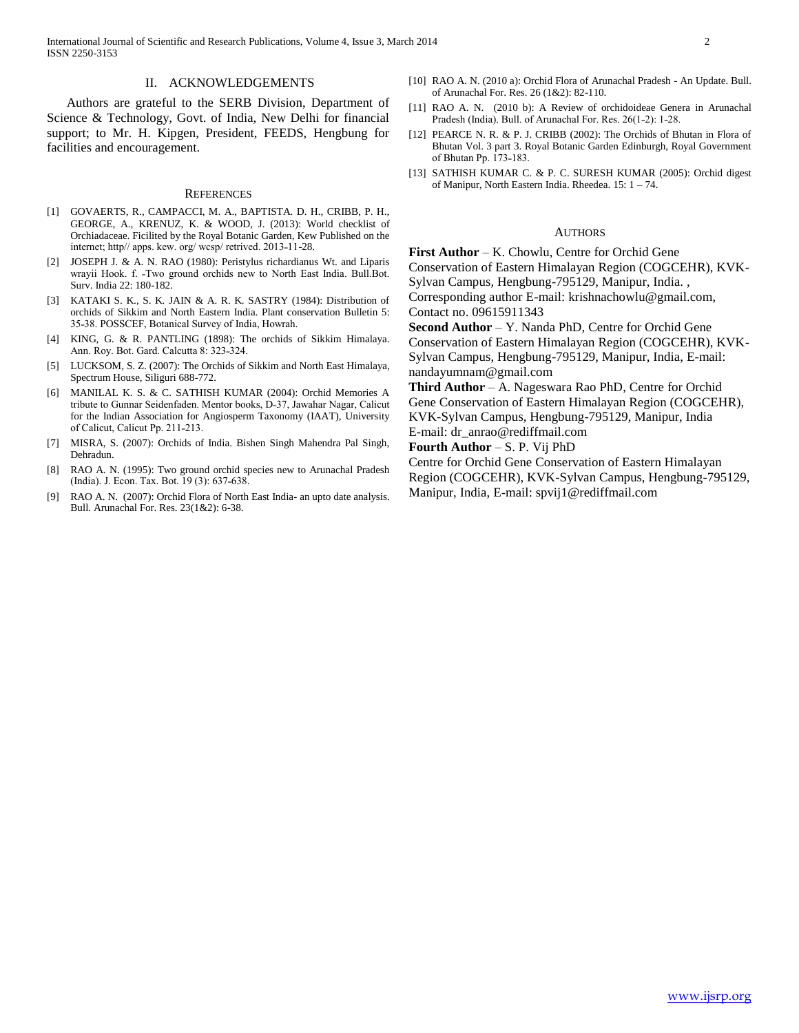International Journal of Scientific and Research Publications, Volume 4, Issue 3, March 2014 2 ISSN 2250-3153

#### II. ACKNOWLEDGEMENTS

 Authors are grateful to the SERB Division, Department of Science & Technology, Govt. of India, New Delhi for financial support; to Mr. H. Kipgen, President, FEEDS, Hengbung for facilities and encouragement.

#### **REFERENCES**

- [1] GOVAERTS, R., CAMPACCI, M. A., BAPTISTA. D. H., CRIBB, P. H., GEORGE, A., KRENUZ, K. & WOOD, J. (2013): World checklist of Orchiadaceae. Ficilited by the Royal Botanic Garden, Kew Published on the internet; http// apps. kew. org/ wcsp/ retrived. 2013-11-28.
- [2] JOSEPH J. & A. N. RAO (1980): Peristylus richardianus Wt. and Liparis wrayii Hook. f. -Two ground orchids new to North East India. Bull.Bot. Surv. India 22: 180-182.
- [3] KATAKI S. K., S. K. JAIN & A. R. K. SASTRY (1984): Distribution of orchids of Sikkim and North Eastern India. Plant conservation Bulletin 5: 35-38. POSSCEF, Botanical Survey of India, Howrah.
- [4] KING, G. & R. PANTLING (1898): The orchids of Sikkim Himalaya. Ann. Roy. Bot. Gard. Calcutta 8: 323-324.
- [5] LUCKSOM, S. Z. (2007): The Orchids of Sikkim and North East Himalaya, Spectrum House, Siliguri 688-772.
- [6] MANILAL K. S. & C. SATHISH KUMAR (2004): Orchid Memories A tribute to Gunnar Seidenfaden. Mentor books, D-37, Jawahar Nagar, Calicut for the Indian Association for Angiosperm Taxonomy (IAAT), University of Calicut, Calicut Pp. 211-213.
- [7] MISRA, S. (2007): Orchids of India. Bishen Singh Mahendra Pal Singh, Dehradun.
- [8] RAO A. N. (1995): Two ground orchid species new to Arunachal Pradesh (India). J. Econ. Tax. Bot. 19 (3): 637-638.
- [9] RAO A. N. (2007): Orchid Flora of North East India- an upto date analysis. Bull. Arunachal For. Res. 23(1&2): 6-38.
- [10] RAO A. N. (2010 a): Orchid Flora of Arunachal Pradesh An Update. Bull. of Arunachal For. Res. 26 (1&2): 82-110.
- [11] RAO A. N. (2010 b): A Review of orchidoideae Genera in Arunachal Pradesh (India). Bull. of Arunachal For. Res. 26(1-2): 1-28.
- [12] PEARCE N. R. & P. J. CRIBB (2002): The Orchids of Bhutan in Flora of Bhutan Vol. 3 part 3. Royal Botanic Garden Edinburgh, Royal Government of Bhutan Pp. 173-183.
- [13] SATHISH KUMAR C. & P. C. SURESH KUMAR (2005): Orchid digest of Manipur, North Eastern India. Rheedea. 15: 1 – 74.

#### **AUTHORS**

**First Author** – K. Chowlu, Centre for Orchid Gene Conservation of Eastern Himalayan Region (COGCEHR), KVK-Sylvan Campus, Hengbung-795129, Manipur, India. , Corresponding author E-mail: krishnachowlu@gmail.com, Contact no. 09615911343

**Second Author** – Y. Nanda PhD, Centre for Orchid Gene Conservation of Eastern Himalayan Region (COGCEHR), KVK-Sylvan Campus, Hengbung-795129, Manipur, India, E-mail: nandayumnam@gmail.com

**Third Author** – A. Nageswara Rao PhD, Centre for Orchid Gene Conservation of Eastern Himalayan Region (COGCEHR), KVK-Sylvan Campus, Hengbung-795129, Manipur, India E-mail: dr\_anrao@rediffmail.com

**Fourth Author** – S. P. Vij PhD

Centre for Orchid Gene Conservation of Eastern Himalayan Region (COGCEHR), KVK-Sylvan Campus, Hengbung-795129, Manipur, India, E-mail: spvij1@rediffmail.com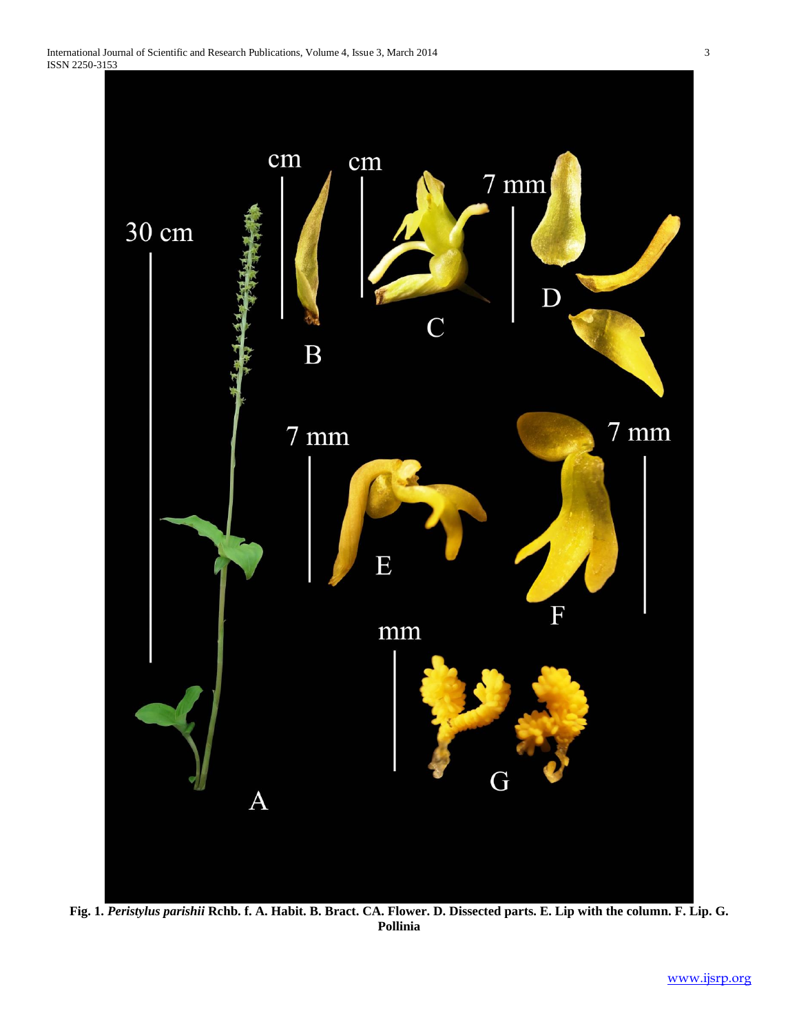

**Fig. 1.** *Peristylus parishii* **Rchb. f. A. Habit. B. Bract. CA. Flower. D. Dissected parts. E. Lip with the column. F. Lip. G. Pollinia**